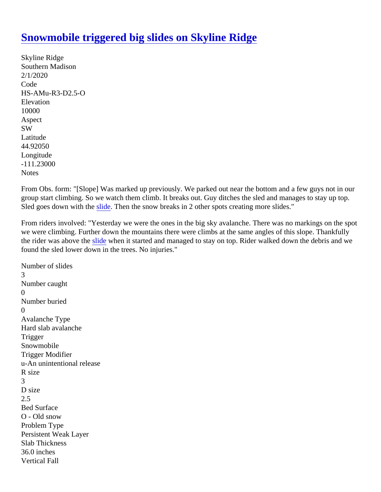## [Snowmobile triggered big slides on Skyline Ridg](https://www.mtavalanche.com/node/21826)e

Skyline Ridge Southern Madison 2/1/2020 Code HS-AMu-R3-D2.5-O **Elevation** 10000 Aspect SW Latitude 44.92050 Longitude -111.23000 **Notes** 

From Obs. form: "[Slope] Was marked up previously. We parked out near the bottom and a few guys not in our group start climbing. So we watch them climb. It breaks out. Guy ditches the sled and manages to stay up top. Sled goes down with the lide. Then the snow breaks in 2 other spots creating more slides."

From riders involved: "Yesterday we were the ones in the big sky avalanche. There was no markings on the s we were climbing. Further down the mountains there were climbs at the same angles of this slope. Thankfully the rider was above the slde when it started and managed to stay on top. Rider walked down the debris and we found the sled lower down in the trees. No injuries."

Number of slides 3 Number caught  $\Omega$ Number buried  $\Omega$ Avalanche Type Hard slab avalanche **Trigger** Snowmobile Trigger Modifier u-An unintentional release R size 3 D size 2.5 Bed Surface O - Old snow Problem Type Persistent Weak Layer Slab Thickness 36.0 inches Vertical Fall